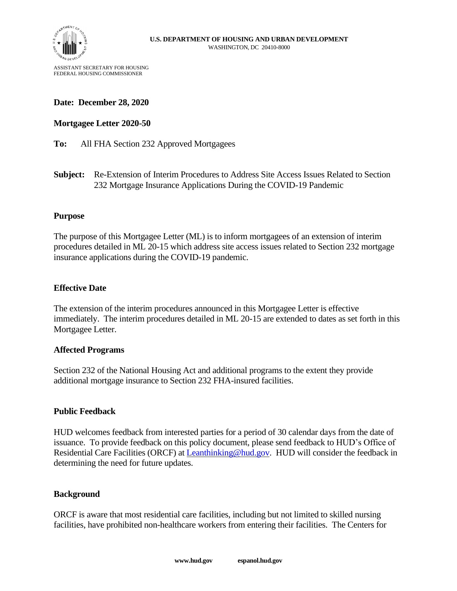

ASSISTANT SECRETARY FOR HOUSING FEDERAL HOUSING COMMISSIONER

## **Date: December 28, 2020**

## **Mortgagee Letter 2020-50**

**To:** All FHA Section 232 Approved Mortgagees

**Subject:** Re-Extension of Interim Procedures to Address Site Access Issues Related to Section 232 Mortgage Insurance Applications During the COVID-19 Pandemic

### **Purpose**

The purpose of this Mortgagee Letter (ML) is to inform mortgagees of an extension of interim procedures detailed in ML 20-15 which address site access issues related to Section 232 mortgage insurance applications during the COVID-19 pandemic.

### **Effective Date**

The extension of the interim procedures announced in this Mortgagee Letter is effective immediately. The interim procedures detailed in ML 20-15 are extended to dates as set forth in this Mortgagee Letter.

#### **Affected Programs**

Section 232 of the National Housing Act and additional programs to the extent they provide additional mortgage insurance to Section 232 FHA-insured facilities.

#### **Public Feedback**

HUD welcomes feedback from interested parties for a period of 30 calendar days from the date of issuance. To provide feedback on this policy document, please send feedback to HUD's Office of Residential Care Facilities (ORCF) at [Leanthinking@hud.gov.](mailto:Leanthinking@hud.gov) HUD will consider the feedback in determining the need for future updates.

#### **Background**

ORCF is aware that most residential care facilities, including but not limited to skilled nursing facilities, have prohibited non-healthcare workers from entering their facilities. The Centers for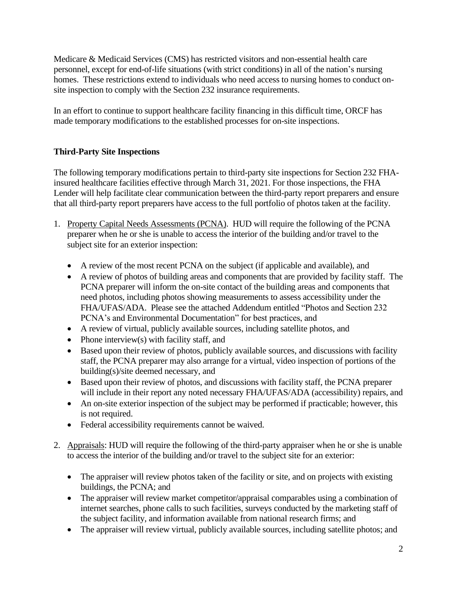Medicare & Medicaid Services (CMS) has restricted visitors and non-essential health care personnel, except for end-of-life situations (with strict conditions) in all of the nation's nursing homes. These restrictions extend to individuals who need access to nursing homes to conduct onsite inspection to comply with the Section 232 insurance requirements.

In an effort to continue to support healthcare facility financing in this difficult time, ORCF has made temporary modifications to the established processes for on-site inspections.

# **Third-Party Site Inspections**

The following temporary modifications pertain to third-party site inspections for Section 232 FHAinsured healthcare facilities effective through March 31, 2021. For those inspections, the FHA Lender will help facilitate clear communication between the third-party report preparers and ensure that all third-party report preparers have access to the full portfolio of photos taken at the facility.

- 1. Property Capital Needs Assessments (PCNA). HUD will require the following of the PCNA preparer when he or she is unable to access the interior of the building and/or travel to the subject site for an exterior inspection:
	- A review of the most recent PCNA on the subject (if applicable and available), and
	- A review of photos of building areas and components that are provided by facility staff. The PCNA preparer will inform the on-site contact of the building areas and components that need photos, including photos showing measurements to assess accessibility under the FHA/UFAS/ADA. Please see the attached Addendum entitled "Photos and Section 232 PCNA's and Environmental Documentation" for best practices, and
	- A review of virtual, publicly available sources, including satellite photos, and
	- Phone interview(s) with facility staff, and
	- Based upon their review of photos, publicly available sources, and discussions with facility staff, the PCNA preparer may also arrange for a virtual, video inspection of portions of the building(s)/site deemed necessary, and
	- Based upon their review of photos, and discussions with facility staff, the PCNA preparer will include in their report any noted necessary FHA/UFAS/ADA (accessibility) repairs, and
	- An on-site exterior inspection of the subject may be performed if practicable; however, this is not required.
	- Federal accessibility requirements cannot be waived.
- 2. Appraisals: HUD will require the following of the third-party appraiser when he or she is unable to access the interior of the building and/or travel to the subject site for an exterior:
	- The appraiser will review photos taken of the facility or site, and on projects with existing buildings, the PCNA; and
	- The appraiser will review market competitor/appraisal comparables using a combination of internet searches, phone calls to such facilities, surveys conducted by the marketing staff of the subject facility, and information available from national research firms; and
	- The appraiser will review virtual, publicly available sources, including satellite photos; and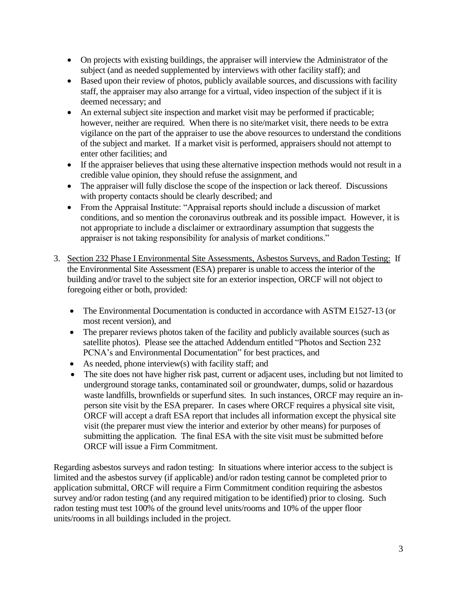- On projects with existing buildings, the appraiser will interview the Administrator of the subject (and as needed supplemented by interviews with other facility staff); and
- Based upon their review of photos, publicly available sources, and discussions with facility staff, the appraiser may also arrange for a virtual, video inspection of the subject if it is deemed necessary; and
- An external subject site inspection and market visit may be performed if practicable; however, neither are required. When there is no site/market visit, there needs to be extra vigilance on the part of the appraiser to use the above resources to understand the conditions of the subject and market. If a market visit is performed, appraisers should not attempt to enter other facilities; and
- If the appraiser believes that using these alternative inspection methods would not result in a credible value opinion, they should refuse the assignment, and
- The appraiser will fully disclose the scope of the inspection or lack thereof. Discussions with property contacts should be clearly described; and
- From the Appraisal Institute: "Appraisal reports should include a discussion of market conditions, and so mention the coronavirus outbreak and its possible impact. However, it is not appropriate to include a disclaimer or extraordinary assumption that suggests the appraiser is not taking responsibility for analysis of market conditions."
- 3. Section 232 Phase I Environmental Site Assessments, Asbestos Surveys, and Radon Testing: If the Environmental Site Assessment (ESA) preparer is unable to access the interior of the building and/or travel to the subject site for an exterior inspection, ORCF will not object to foregoing either or both, provided:
	- The Environmental Documentation is conducted in accordance with ASTM E1527-13 (or most recent version), and
	- The preparer reviews photos taken of the facility and publicly available sources (such as satellite photos). Please see the attached Addendum entitled "Photos and Section 232 PCNA's and Environmental Documentation" for best practices, and
	- As needed, phone interview(s) with facility staff; and
	- The site does not have higher risk past, current or adjacent uses, including but not limited to underground storage tanks, contaminated soil or groundwater, dumps, solid or hazardous waste landfills, brownfields or superfund sites. In such instances, ORCF may require an inperson site visit by the ESA preparer. In cases where ORCF requires a physical site visit, ORCF will accept a draft ESA report that includes all information except the physical site visit (the preparer must view the interior and exterior by other means) for purposes of submitting the application. The final ESA with the site visit must be submitted before ORCF will issue a Firm Commitment.

Regarding asbestos surveys and radon testing: In situations where interior access to the subject is limited and the asbestos survey (if applicable) and/or radon testing cannot be completed prior to application submittal, ORCF will require a Firm Commitment condition requiring the asbestos survey and/or radon testing (and any required mitigation to be identified) prior to closing. Such radon testing must test 100% of the ground level units/rooms and 10% of the upper floor units/rooms in all buildings included in the project.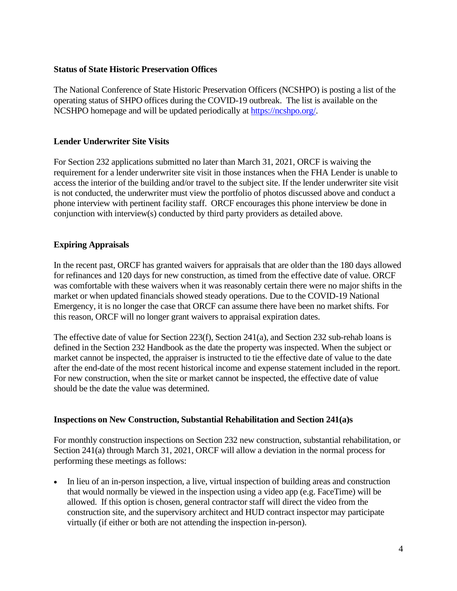## **Status of State Historic Preservation Offices**

The National Conference of State Historic Preservation Officers (NCSHPO) is posting a list of the operating status of SHPO offices during the COVID-19 outbreak. The list is available on the NCSHPO homepage and will be updated periodically at [https://ncshpo.org/.](https://ncshpo.org/)

## **Lender Underwriter Site Visits**

For Section 232 applications submitted no later than March 31, 2021, ORCF is waiving the requirement for a lender underwriter site visit in those instances when the FHA Lender is unable to access the interior of the building and/or travel to the subject site. If the lender underwriter site visit is not conducted, the underwriter must view the portfolio of photos discussed above and conduct a phone interview with pertinent facility staff. ORCF encourages this phone interview be done in conjunction with interview(s) conducted by third party providers as detailed above.

## **Expiring Appraisals**

In the recent past, ORCF has granted waivers for appraisals that are older than the 180 days allowed for refinances and 120 days for new construction, as timed from the effective date of value. ORCF was comfortable with these waivers when it was reasonably certain there were no major shifts in the market or when updated financials showed steady operations. Due to the COVID-19 National Emergency, it is no longer the case that ORCF can assume there have been no market shifts. For this reason, ORCF will no longer grant waivers to appraisal expiration dates.

The effective date of value for Section 223(f), Section 241(a), and Section 232 sub-rehab loans is defined in the Section 232 Handbook as the date the property was inspected. When the subject or market cannot be inspected, the appraiser is instructed to tie the effective date of value to the date after the end-date of the most recent historical income and expense statement included in the report. For new construction, when the site or market cannot be inspected, the effective date of value should be the date the value was determined.

### **Inspections on New Construction, Substantial Rehabilitation and Section 241(a)s**

For monthly construction inspections on Section 232 new construction, substantial rehabilitation, or Section 241(a) through March 31, 2021, ORCF will allow a deviation in the normal process for performing these meetings as follows:

• In lieu of an in-person inspection, a live, virtual inspection of building areas and construction that would normally be viewed in the inspection using a video app (e.g. FaceTime) will be allowed. If this option is chosen, general contractor staff will direct the video from the construction site, and the supervisory architect and HUD contract inspector may participate virtually (if either or both are not attending the inspection in-person).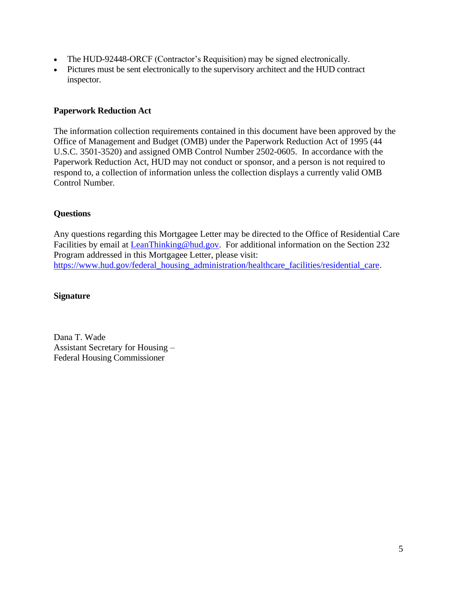- The HUD-92448-ORCF (Contractor's Requisition) may be signed electronically.
- Pictures must be sent electronically to the supervisory architect and the HUD contract inspector.

## **Paperwork Reduction Act**

The information collection requirements contained in this document have been approved by the Office of Management and Budget (OMB) under the Paperwork Reduction Act of 1995 (44 U.S.C. 3501-3520) and assigned OMB Control Number 2502-0605. In accordance with the Paperwork Reduction Act, HUD may not conduct or sponsor, and a person is not required to respond to, a collection of information unless the collection displays a currently valid OMB Control Number.

## **Questions**

Any questions regarding this Mortgagee Letter may be directed to the Office of Residential Care Facilities by email at [LeanThinking@hud.gov.](mailto:LeanThinking@hud.gov) For additional information on the Section 232 Program addressed in this Mortgagee Letter, please visit: [https://www.hud.gov/federal\\_housing\\_administration/healthcare\\_facilities/residential\\_care.](https://www.hud.gov/federal_housing_administration/healthcare_facilities/residential_care)

### **Signature**

Dana T. Wade Assistant Secretary for Housing – Federal Housing Commissioner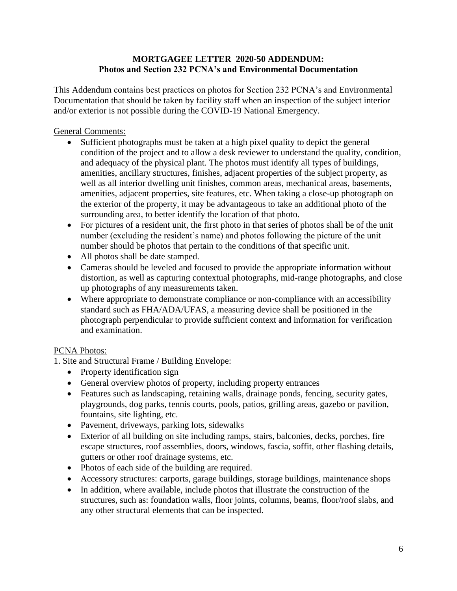## **MORTGAGEE LETTER 2020-50 ADDENDUM: Photos and Section 232 PCNA's and Environmental Documentation**

This Addendum contains best practices on photos for Section 232 PCNA's and Environmental Documentation that should be taken by facility staff when an inspection of the subject interior and/or exterior is not possible during the COVID-19 National Emergency.

## General Comments:

- Sufficient photographs must be taken at a high pixel quality to depict the general condition of the project and to allow a desk reviewer to understand the quality, condition, and adequacy of the physical plant. The photos must identify all types of buildings, amenities, ancillary structures, finishes, adjacent properties of the subject property, as well as all interior dwelling unit finishes, common areas, mechanical areas, basements, amenities, adjacent properties, site features, etc. When taking a close-up photograph on the exterior of the property, it may be advantageous to take an additional photo of the surrounding area, to better identify the location of that photo.
- For pictures of a resident unit, the first photo in that series of photos shall be of the unit number (excluding the resident's name) and photos following the picture of the unit number should be photos that pertain to the conditions of that specific unit.
- All photos shall be date stamped.
- Cameras should be leveled and focused to provide the appropriate information without distortion, as well as capturing contextual photographs, mid-range photographs, and close up photographs of any measurements taken.
- Where appropriate to demonstrate compliance or non-compliance with an accessibility standard such as FHA/ADA/UFAS, a measuring device shall be positioned in the photograph perpendicular to provide sufficient context and information for verification and examination.

# PCNA Photos:

1. Site and Structural Frame / Building Envelope:

- Property identification sign
- General overview photos of property, including property entrances
- Features such as landscaping, retaining walls, drainage ponds, fencing, security gates, playgrounds, dog parks, tennis courts, pools, patios, grilling areas, gazebo or pavilion, fountains, site lighting, etc.
- Pavement, driveways, parking lots, sidewalks
- Exterior of all building on site including ramps, stairs, balconies, decks, porches, fire escape structures, roof assemblies, doors, windows, fascia, soffit, other flashing details, gutters or other roof drainage systems, etc.
- Photos of each side of the building are required.
- Accessory structures: carports, garage buildings, storage buildings, maintenance shops
- In addition, where available, include photos that illustrate the construction of the structures, such as: foundation walls, floor joints, columns, beams, floor/roof slabs, and any other structural elements that can be inspected.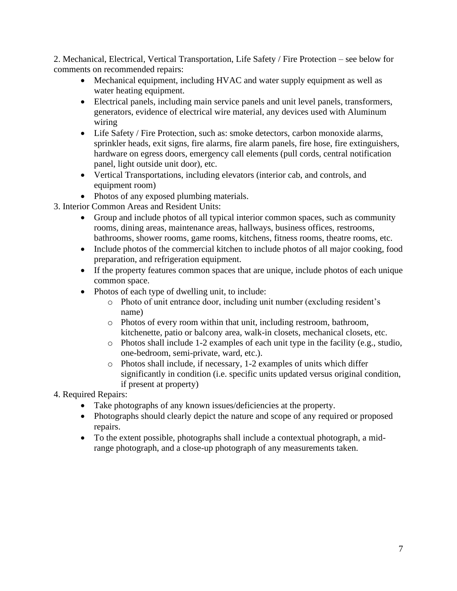2. Mechanical, Electrical, Vertical Transportation, Life Safety / Fire Protection – see below for comments on recommended repairs:

- Mechanical equipment, including HVAC and water supply equipment as well as water heating equipment.
- Electrical panels, including main service panels and unit level panels, transformers, generators, evidence of electrical wire material, any devices used with Aluminum wiring
- Life Safety / Fire Protection, such as: smoke detectors, carbon monoxide alarms, sprinkler heads, exit signs, fire alarms, fire alarm panels, fire hose, fire extinguishers, hardware on egress doors, emergency call elements (pull cords, central notification panel, light outside unit door), etc.
- Vertical Transportations, including elevators (interior cab, and controls, and equipment room)
- Photos of any exposed plumbing materials.
- 3. Interior Common Areas and Resident Units:
	- Group and include photos of all typical interior common spaces, such as community rooms, dining areas, maintenance areas, hallways, business offices, restrooms, bathrooms, shower rooms, game rooms, kitchens, fitness rooms, theatre rooms, etc.
	- Include photos of the commercial kitchen to include photos of all major cooking, food preparation, and refrigeration equipment.
	- If the property features common spaces that are unique, include photos of each unique common space.
	- Photos of each type of dwelling unit, to include:
		- o Photo of unit entrance door, including unit number (excluding resident's name)
		- o Photos of every room within that unit, including restroom, bathroom, kitchenette, patio or balcony area, walk-in closets, mechanical closets, etc.
		- o Photos shall include 1-2 examples of each unit type in the facility (e.g., studio, one-bedroom, semi-private, ward, etc.).
		- o Photos shall include, if necessary, 1-2 examples of units which differ significantly in condition (i.e. specific units updated versus original condition, if present at property)
- 4. Required Repairs:
	- Take photographs of any known issues/deficiencies at the property.
	- Photographs should clearly depict the nature and scope of any required or proposed repairs.
	- To the extent possible, photographs shall include a contextual photograph, a midrange photograph, and a close-up photograph of any measurements taken.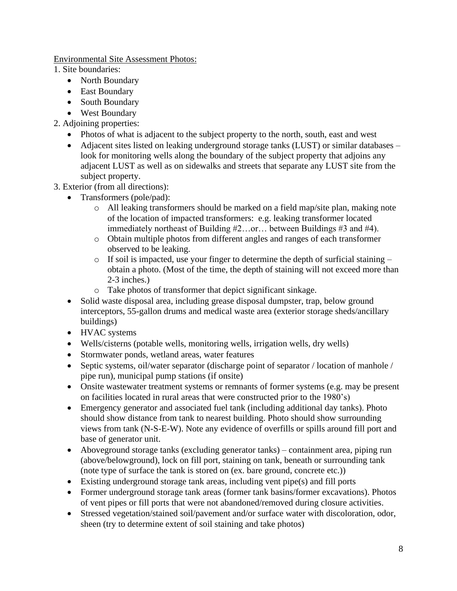Environmental Site Assessment Photos:

1. Site boundaries:

- North Boundary
- East Boundary
- South Boundary
- West Boundary
- 2. Adjoining properties:
	- Photos of what is adjacent to the subject property to the north, south, east and west
	- Adjacent sites listed on leaking underground storage tanks (LUST) or similar databases look for monitoring wells along the boundary of the subject property that adjoins any adjacent LUST as well as on sidewalks and streets that separate any LUST site from the subject property.
- 3. Exterior (from all directions):
	- Transformers (pole/pad):
		- $\circ$  All leaking transformers should be marked on a field map/site plan, making note of the location of impacted transformers: e.g. leaking transformer located immediately northeast of Building #2…or… between Buildings #3 and #4).
		- o Obtain multiple photos from different angles and ranges of each transformer observed to be leaking.
		- o If soil is impacted, use your finger to determine the depth of surficial staining obtain a photo. (Most of the time, the depth of staining will not exceed more than 2-3 inches.)
		- o Take photos of transformer that depict significant sinkage.
	- Solid waste disposal area, including grease disposal dumpster, trap, below ground interceptors, 55-gallon drums and medical waste area (exterior storage sheds/ancillary buildings)
	- HVAC systems
	- Wells/cisterns (potable wells, monitoring wells, irrigation wells, dry wells)
	- Stormwater ponds, wetland areas, water features
	- Septic systems, oil/water separator (discharge point of separator / location of manhole / pipe run), municipal pump stations (if onsite)
	- Onsite wastewater treatment systems or remnants of former systems (e.g. may be present on facilities located in rural areas that were constructed prior to the 1980's)
	- Emergency generator and associated fuel tank (including additional day tanks). Photo should show distance from tank to nearest building. Photo should show surrounding views from tank (N-S-E-W). Note any evidence of overfills or spills around fill port and base of generator unit.
	- Aboveground storage tanks (excluding generator tanks) containment area, piping run (above/belowground), lock on fill port, staining on tank, beneath or surrounding tank (note type of surface the tank is stored on (ex. bare ground, concrete etc.))
	- Existing underground storage tank areas, including vent pipe(s) and fill ports
	- Former underground storage tank areas (former tank basins/former excavations). Photos of vent pipes or fill ports that were not abandoned/removed during closure activities.
	- Stressed vegetation/stained soil/pavement and/or surface water with discoloration, odor, sheen (try to determine extent of soil staining and take photos)